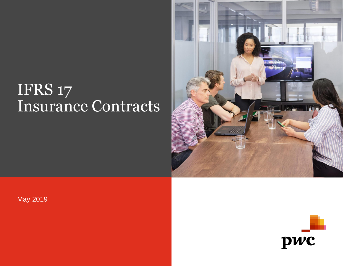## IFRS 17 Insurance Contracts



May 2019

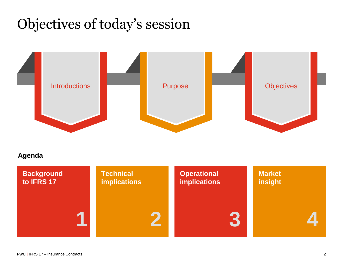## Objectives of today's session



#### **Agenda**

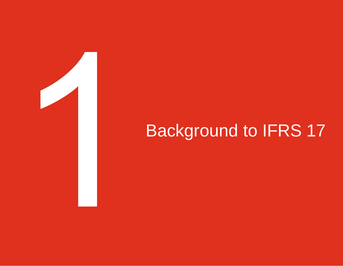# Background to IFRS 17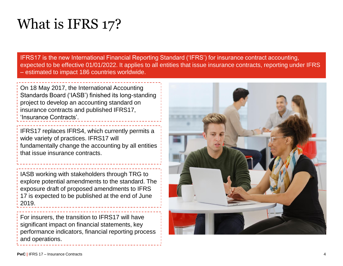### What is IFRS 17?

**1** IFRS17 is the new International Financial Reporting Standard ('IFRS') for insurance contract accounting, expected to be effective 01/01/2022. It applies to all entities that issue insurance contracts, reporting under IFRS – estimated to impact 186 countries worldwide.

On 18 May 2017, the International Accounting Standards Board ('IASB') finished its long-standing project to develop an accounting standard on insurance contracts and published IFRS17, 'Insurance Contracts'.

IFRS17 replaces IFRS4, which currently permits a wide variety of practices. IFRS17 will fundamentally change the accounting by all entities that issue insurance contracts.

IASB working with stakeholders through TRG to explore potential amendments to the standard. The exposure draft of proposed amendments to IFRS 17 is expected to be published at the end of June 2019.

For insurers, the transition to IFRS17 will have significant impact on financial statements, key performance indicators, financial reporting process and operations.

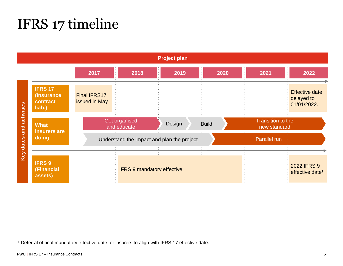### IFRS 17 timeline

**Project plan 20222017 2018 2019 2020 2021 IFRS 17** Effective date Final IFRS17 **(Insurance**  delayed to **contract**  issued in May Key dates and activities 01/01/2022. **Key dates and activities liab.)** Get organised Transition to the Design Build **Build Report Followskin What**  and educate **insurers are doing** Understand the impact and plan the project Parallel run **IFRS 9** IFRS 9 mandatory effective 2022 IFRS 9 **(Financial**  effective date<sup>1</sup> **assets)**

<sup>1</sup> Deferral of final mandatory effective date for insurers to align with IFRS 17 effective date.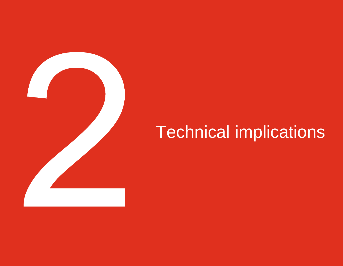

# Technical implications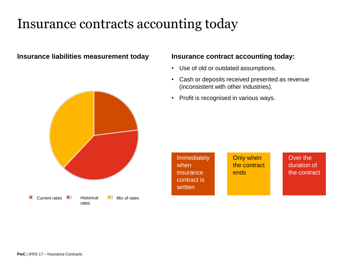### Insurance contracts accounting today

#### **Insurance liabilities measurement today**

#### **Insurance contract accounting today:**

- Use of old or outdated assumptions.
- Cash or deposits received presented as revenue (inconsistent with other industries).

or or ends

Only when the contract

• Profit is recognised in various ways.

**Immediately** 

insurance contract is

when

written



Over the duration of the contract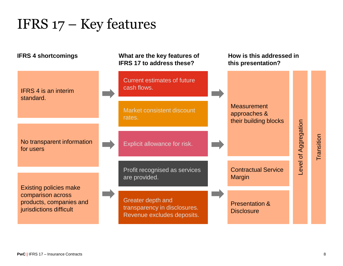### IFRS 17 – Key features

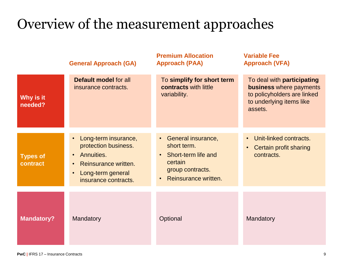## Overview of the measurement approaches

|                             | <b>General Approach (GA)</b>                                                                                                                              | <b>Premium Allocation</b><br><b>Approach (PAA)</b>                                                                                                       | <b>Variable Fee</b><br><b>Approach (VFA)</b>                                                                                       |
|-----------------------------|-----------------------------------------------------------------------------------------------------------------------------------------------------------|----------------------------------------------------------------------------------------------------------------------------------------------------------|------------------------------------------------------------------------------------------------------------------------------------|
| Why is it<br>needed?        | Default model for all<br>insurance contracts.                                                                                                             | To simplify for short term<br>contracts with little<br>variability.                                                                                      | To deal with participating<br><b>business</b> where payments<br>to policyholders are linked<br>to underlying items like<br>assets. |
| <b>Types of</b><br>contract | Long-term insurance,<br>protection business.<br>Annuities.<br>$\bullet$<br>Reinsurance written.<br>$\bullet$<br>Long-term general<br>insurance contracts. | General insurance,<br>$\bullet$ .<br>short term.<br>Short-term life and<br>$\bullet$<br>certain<br>group contracts.<br>Reinsurance written.<br>$\bullet$ | Unit-linked contracts.<br>Certain profit sharing<br>contracts.                                                                     |
| <b>Mandatory?</b>           | Mandatory                                                                                                                                                 | Optional                                                                                                                                                 | Mandatory                                                                                                                          |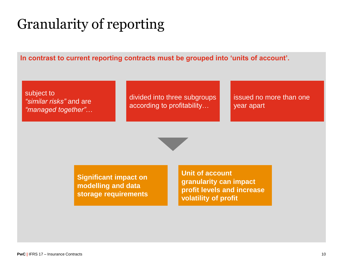## Granularity of reporting

**In contrast to current reporting contracts must be grouped into 'units of account'.**

subject to *"similar risks"* and are *"managed together"*…

divided into three subgroups according to profitability…

issued no more than one year apart

**Significant impact on modelling and data storage requirements** **Unit of account granularity can impact profit levels and increase volatility of profit**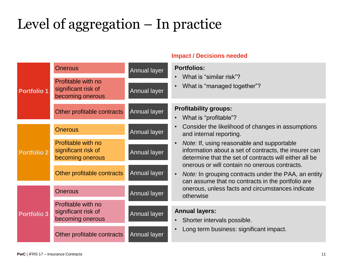## Level of aggregation – In practice

| <b>Impact / Decisions needed</b> |                                                               |                                           |                                                                                                                                                                                |  |
|----------------------------------|---------------------------------------------------------------|-------------------------------------------|--------------------------------------------------------------------------------------------------------------------------------------------------------------------------------|--|
| <b>Portfolio 1</b>               | <b>Onerous</b>                                                | <b>Portfolios:</b><br><b>Annual layer</b> |                                                                                                                                                                                |  |
|                                  | Profitable with no<br>significant risk of<br>becoming onerous | Annual layer                              | What is "similar risk"?<br>$\bullet$<br>What is "managed together"?                                                                                                            |  |
|                                  | Other profitable contracts                                    | <b>Annual layer</b>                       | <b>Profitability groups:</b><br>What is "profitable"?<br>$\bullet$                                                                                                             |  |
| <b>Portfolio 2</b>               | <b>Onerous</b>                                                | <b>Annual layer</b>                       | Consider the likelihood of changes in assumptions<br>and internal reporting.                                                                                                   |  |
|                                  | Profitable with no<br>significant risk of<br>becoming onerous | <b>Annual layer</b>                       | Note: If, using reasonable and supportable<br>$\bullet$<br>information about a set of contracts, the insurer can<br>determine that the set of contracts will either all be     |  |
|                                  | Other profitable contracts                                    | <b>Annual layer</b>                       | onerous or will contain no onerous contracts.<br><i>Note:</i> In grouping contracts under the PAA, an entity<br>$\bullet$<br>can assume that no contracts in the portfolio are |  |
| <b>Portfolio 3</b>               | <b>Onerous</b>                                                | <b>Annual layer</b>                       | onerous, unless facts and circumstances indicate<br>otherwise                                                                                                                  |  |
|                                  | Profitable with no                                            |                                           |                                                                                                                                                                                |  |
|                                  | significant risk of<br>becoming onerous                       | <b>Annual layer</b>                       | <b>Annual layers:</b><br>Shorter intervals possible.                                                                                                                           |  |
|                                  | Other profitable contracts                                    | <b>Annual layer</b>                       | Long term business: significant impact.<br>$\bullet$                                                                                                                           |  |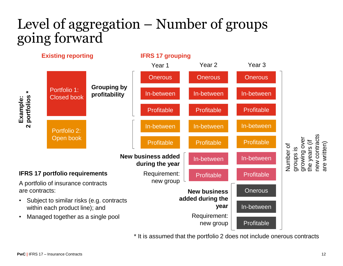### Level of aggregation – Number of groups going forward



\* It is assumed that the portfolio 2 does not include onerous contracts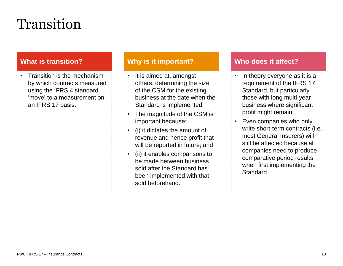## Transition

#### **What is transition?**

• Transition is the mechanism by which contracts measured using the IFRS 4 standard 'move' to a measurement on an IFRS 17 basis.

#### **Why is it important?**

- It is aimed at, amongst others, determining the size of the CSM for the existing business at the date when the Standard is implemented.
- The magnitude of the CSM is important because:
- (i) it dictates the amount of revenue and hence profit that will be reported in future; and
- (ii) it enables comparisons to be made between business sold after the Standard has been implemented with that sold beforehand.

#### **Who does it affect?**

- In theory everyone as it is a requirement of the IFRS 17 Standard, but particularly those with long multi-year business where significant profit might remain.
- Even companies who only write short-term contracts (i.e. most General Insurers) will still be affected because all companies need to produce comparative period results when first implementing the Standard.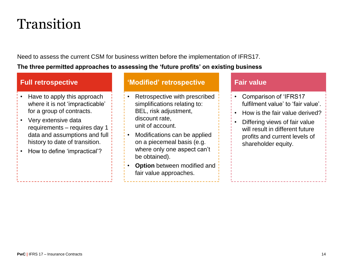### Transition

Need to assess the current CSM for business written before the implementation of IFRS17. **The three permitted approaches to assessing the 'future profits' on existing business**

#### **Full retrospective**

- Have to apply this approach where it is not 'impracticable' for a group of contracts.
- Very extensive data requirements – requires day 1 data and assumptions and full history to date of transition.
- How to define 'impractical'?

**'Modified' retrospective**

• Retrospective with prescribed simplifications relating to: BEL, risk adjustment, discount rate, unit of account.

- Modifications can be applied on a piecemeal basis (e.g. where only one aspect can't be obtained).
- **Option** between modified and fair value approaches.

#### **Fair value**

- Comparison of 'IFRS17 fulfilment value' to 'fair value'.
- How is the fair value derived?
- Differing views of fair value will result in different future profits and current levels of shareholder equity.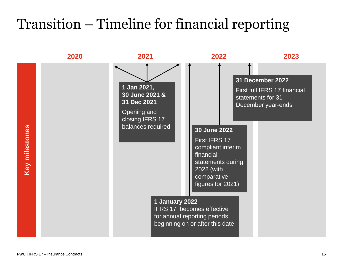### Transition – Timeline for financial reporting

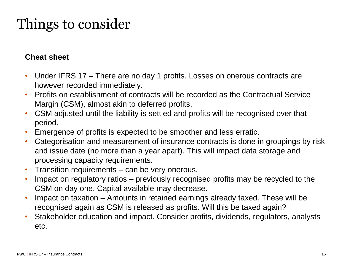## Things to consider

#### **Cheat sheet**

- Under IFRS 17 There are no day 1 profits. Losses on onerous contracts are however recorded immediately.
- Profits on establishment of contracts will be recorded as the Contractual Service Margin (CSM), almost akin to deferred profits.
- CSM adjusted until the liability is settled and profits will be recognised over that period.
- Emergence of profits is expected to be smoother and less erratic.
- Categorisation and measurement of insurance contracts is done in groupings by risk and issue date (no more than a year apart). This will impact data storage and processing capacity requirements.
- Transition requirements can be very onerous.
- Impact on regulatory ratios previously recognised profits may be recycled to the CSM on day one. Capital available may decrease.
- Impact on taxation Amounts in retained earnings already taxed. These will be recognised again as CSM is released as profits. Will this be taxed again?
- Stakeholder education and impact. Consider profits, dividends, regulators, analysts etc.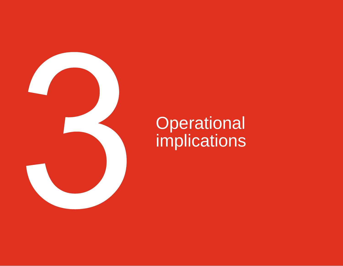

# **Operational** implications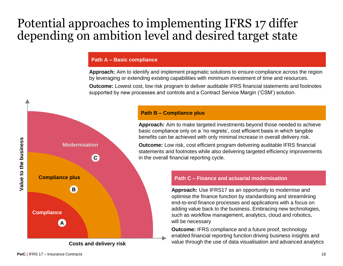### Potential approaches to implementing IFRS 17 differ depending on ambition level and desired target state

#### **Path A – Basic compliance**

**Approach:** Aim to identify and implement pragmatic solutions to ensure compliance across the region by leveraging or extending existing capabilities with minimum investment of time and resources. **Outcome:** Lowest cost, low risk program to deliver auditable IFRS financial statements and footnotes supported by new processes and controls and a Contract Service Margin ('CSM') solution.

### **Path B – Compliance plus**

**Approach:** Aim to make targeted investments beyond those needed to achieve basic compliance only on a 'no regrets', cost efficient basis in which tangible benefits can be achieved with only minimal increase in overall delivery risk.

**Outcome:** Low risk, cost efficient program delivering auditable IFRS financial statements and footnotes while also delivering targeted efficiency improvements in the overall financial reporting cycle.

#### **Path C – Finance and actuarial modernisation**

**Approach:** Use IFRS17 as an opportunity to modernise and optimise the finance function by standardising and streamlining end-to-end finance processes and applications with a focus on adding value back to the business. Embracing new technologies, such as workflow management, analytics, cloud and robotics, will be necessary

**Outcome: IFRS compliance and a future proof, technology** enabled financial reporting function driving business insights and value through the use of data visualisation and advanced analytics





**Costs and delivery risk**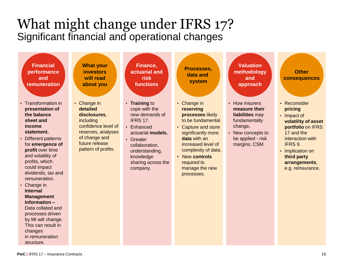### What might change under IFRS 17? Significant financial and operational changes

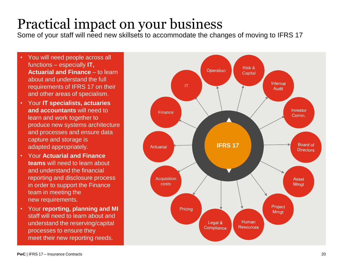## Practical impact on your business

Some of your staff will need new skillsets to accommodate the changes of moving to IFRS 17

- You will need people across all functions – especially **IT, Actuarial and Finance** – to learn about and understand the full requirements of IFRS 17 on their and other areas of specialism.
- Your **IT specialists, actuaries and accountants** will need to learn and work together to produce new systems architecture and processes and ensure data capture and storage is adapted appropriately.
- Your **Actuarial and Finance teams** will need to learn about and understand the financial reporting and disclosure process in order to support the Finance team in meeting the new requirements.
- Your **reporting, planning and MI**  staff will need to learn about and understand the reserving/capital processes to ensure they meet their new reporting needs.

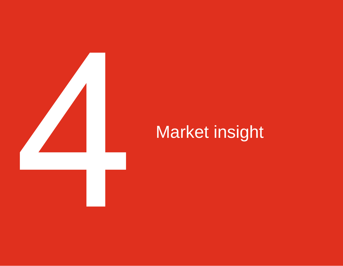

# Market insight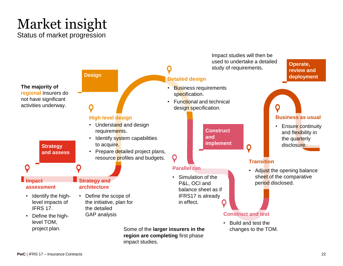### Market insight Status of market progression

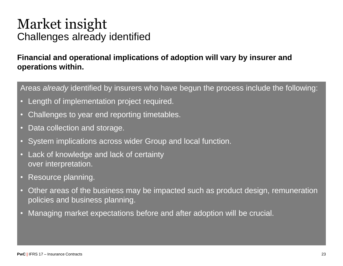### Market insight Challenges already identified

#### **Financial and operational implications of adoption will vary by insurer and operations within.**

Areas *already* identified by insurers who have begun the process include the following:

- Length of implementation project required.
- Challenges to year end reporting timetables.
- Data collection and storage.
- System implications across wider Group and local function.
- Lack of knowledge and lack of certainty over interpretation.
- Resource planning.
- Other areas of the business may be impacted such as product design, remuneration policies and business planning.
- Managing market expectations before and after adoption will be crucial.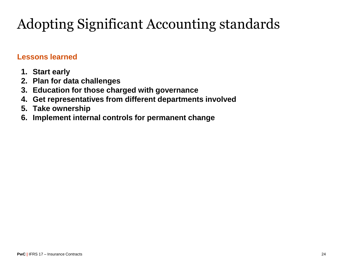## Adopting Significant Accounting standards

#### **Lessons learned**

- **1. Start early**
- **2. Plan for data challenges**
- **3. Education for those charged with governance**
- **4. Get representatives from different departments involved**
- **5. Take ownership**
- **6. Implement internal controls for permanent change**